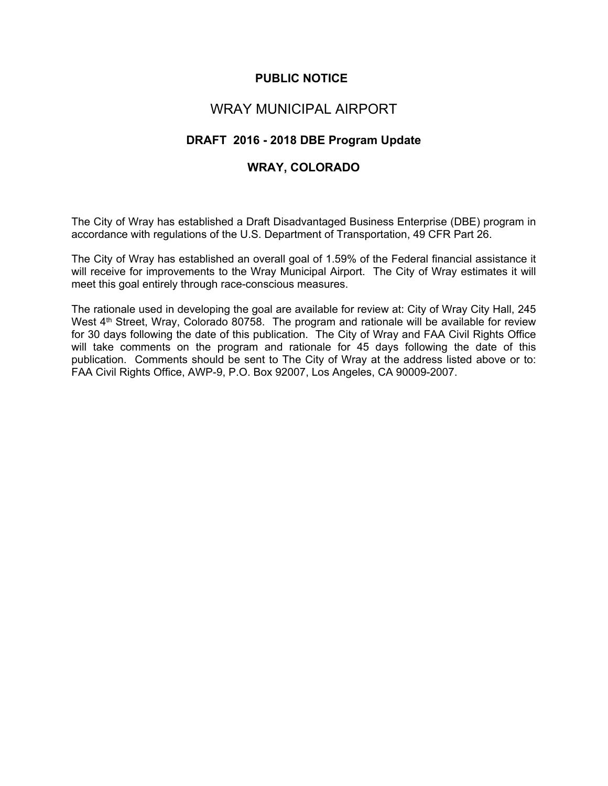## **PUBLIC NOTICE**

## WRAY MUNICIPAL AIRPORT

## **DRAFT 2016 - 2018 DBE Program Update**

## **WRAY, COLORADO**

The City of Wray has established a Draft Disadvantaged Business Enterprise (DBE) program in accordance with regulations of the U.S. Department of Transportation, 49 CFR Part 26.

The City of Wray has established an overall goal of 1.59% of the Federal financial assistance it will receive for improvements to the Wray Municipal Airport. The City of Wray estimates it will meet this goal entirely through race-conscious measures.

The rationale used in developing the goal are available for review at: City of Wray City Hall, 245 West 4<sup>th</sup> Street, Wray, Colorado 80758. The program and rationale will be available for review for 30 days following the date of this publication. The City of Wray and FAA Civil Rights Office will take comments on the program and rationale for 45 days following the date of this publication. Comments should be sent to The City of Wray at the address listed above or to: FAA Civil Rights Office, AWP-9, P.O. Box 92007, Los Angeles, CA 90009-2007.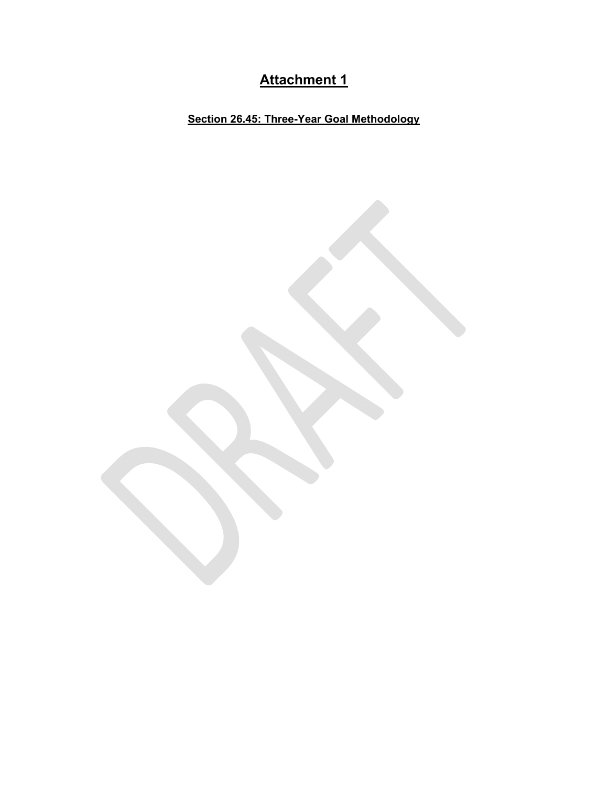# **Attachment 1**

**Section 26.45: Three-Year Goal Methodology**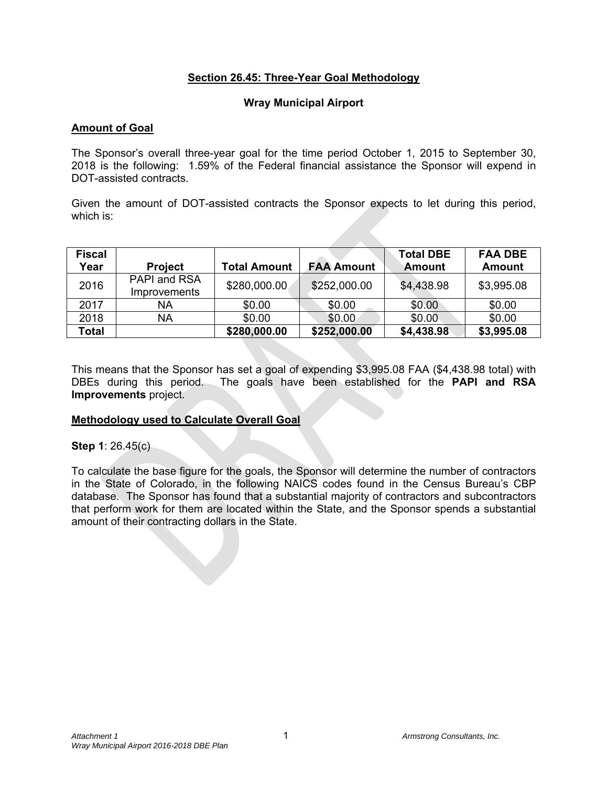### **Section 26.45: Three-Year Goal Methodology**

#### **Wray Municipal Airport**

#### **Amount of Goal**

The Sponsor's overall three-year goal for the time period October 1, 2015 to September 30, 2018 is the following: 1.59% of the Federal financial assistance the Sponsor will expend in DOT-assisted contracts.

Given the amount of DOT-assisted contracts the Sponsor expects to let during this period, which is:

| <b>Fiscal</b><br>Year | <b>Project</b>                      | <b>Total Amount</b> | <b>FAA Amount</b> | <b>Total DBE</b><br>Amount | <b>FAA DBE</b><br><b>Amount</b> |
|-----------------------|-------------------------------------|---------------------|-------------------|----------------------------|---------------------------------|
| 2016                  | PAPI and RSA<br><i>Improvements</i> | \$280,000.00        | \$252,000.00      | \$4,438.98                 | \$3,995.08                      |
| 2017                  | NA                                  | \$0.00              | \$0.00            | \$0.00                     | \$0.00                          |
| 2018                  | NA                                  | \$0.00              | \$0.00            | \$0.00                     | \$0.00                          |
| Total                 |                                     | \$280,000.00        | \$252,000.00      | \$4,438.98                 | \$3,995.08                      |

This means that the Sponsor has set a goal of expending \$3,995.08 FAA (\$4,438.98 total) with DBEs during this period. The goals have been established for the **PAPI and RSA Improvements** project.

#### **Methodology used to Calculate Overall Goal**

**Step 1**: 26.45(c)

To calculate the base figure for the goals, the Sponsor will determine the number of contractors in the State of Colorado, in the following NAICS codes found in the Census Bureau's CBP database. The Sponsor has found that a substantial majority of contractors and subcontractors that perform work for them are located within the State, and the Sponsor spends a substantial amount of their contracting dollars in the State.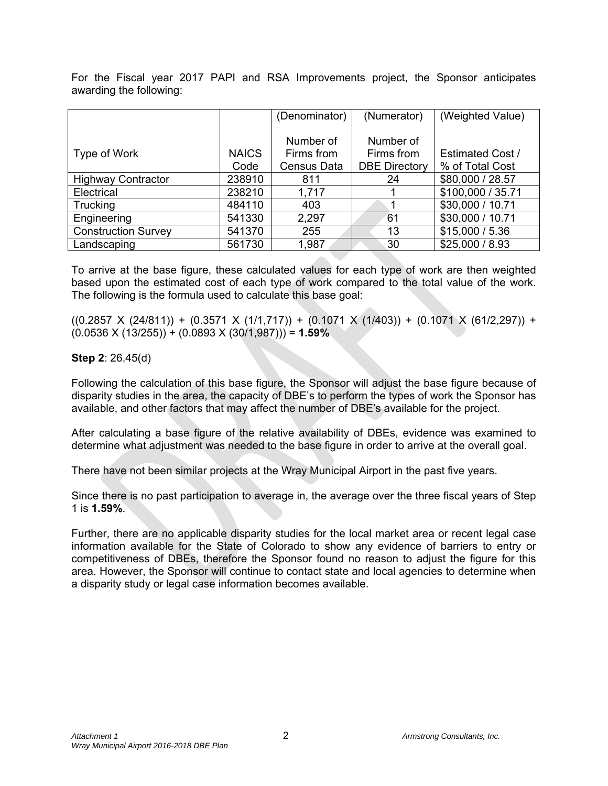For the Fiscal year 2017 PAPI and RSA Improvements project, the Sponsor anticipates awarding the following:

|                            |              | (Denominator)      | (Numerator)          | (Weighted Value)        |
|----------------------------|--------------|--------------------|----------------------|-------------------------|
|                            |              |                    |                      |                         |
|                            |              | Number of          | Number of            |                         |
| Type of Work               | <b>NAICS</b> | Firms from         | Firms from           | <b>Estimated Cost /</b> |
|                            | Code         | <b>Census Data</b> | <b>DBE Directory</b> | % of Total Cost         |
| <b>Highway Contractor</b>  | 238910       | 811                | 24                   | \$80,000 / 28.57        |
| Electrical                 | 238210       | 1,717              |                      | \$100,000 / 35.71       |
| Trucking                   | 484110       | 403                |                      | \$30,000 / 10.71        |
| Engineering                | 541330       | 2,297              | 61                   | \$30,000 / 10.71        |
| <b>Construction Survey</b> | 541370       | 255                | 13                   | \$15,000 / 5.36         |
| Landscaping                | 561730       | 1,987              | 30                   | \$25,000 / 8.93         |

To arrive at the base figure, these calculated values for each type of work are then weighted based upon the estimated cost of each type of work compared to the total value of the work. The following is the formula used to calculate this base goal:

 $((0.2857 \times (24/811)) + (0.3571 \times (1/1,717)) + (0.1071 \times (1/403)) + (0.1071 \times (61/2,297)) +$ (0.0536 X (13/255)) + (0.0893 X (30/1,987))) = **1.59%** 

#### **Step 2**: 26.45(d)

Following the calculation of this base figure, the Sponsor will adjust the base figure because of disparity studies in the area, the capacity of DBE's to perform the types of work the Sponsor has available, and other factors that may affect the number of DBE's available for the project.

After calculating a base figure of the relative availability of DBEs, evidence was examined to determine what adjustment was needed to the base figure in order to arrive at the overall goal.

There have not been similar projects at the Wray Municipal Airport in the past five years.

Since there is no past participation to average in, the average over the three fiscal years of Step 1 is **1.59%**.

Further, there are no applicable disparity studies for the local market area or recent legal case information available for the State of Colorado to show any evidence of barriers to entry or competitiveness of DBEs, therefore the Sponsor found no reason to adjust the figure for this area. However, the Sponsor will continue to contact state and local agencies to determine when a disparity study or legal case information becomes available.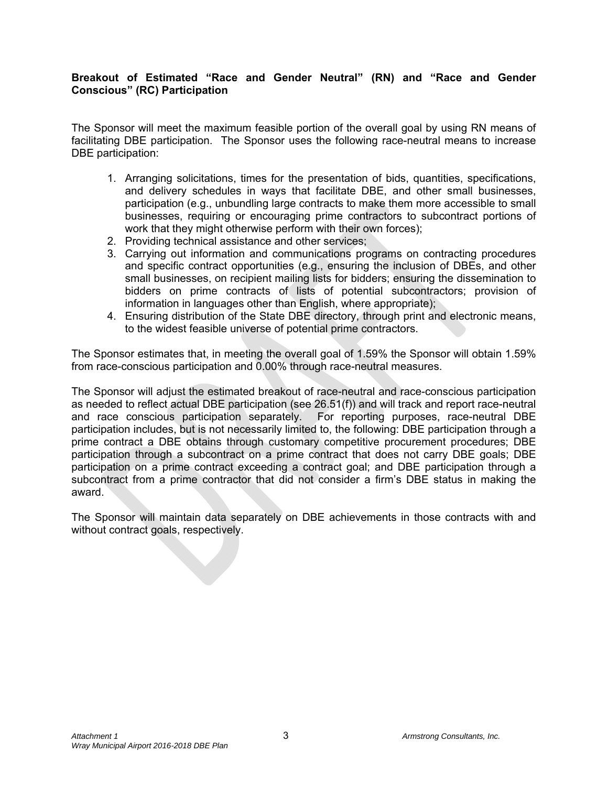#### **Breakout of Estimated "Race and Gender Neutral" (RN) and "Race and Gender Conscious" (RC) Participation**

The Sponsor will meet the maximum feasible portion of the overall goal by using RN means of facilitating DBE participation. The Sponsor uses the following race-neutral means to increase DBE participation:

- 1. Arranging solicitations, times for the presentation of bids, quantities, specifications, and delivery schedules in ways that facilitate DBE, and other small businesses, participation (e.g., unbundling large contracts to make them more accessible to small businesses, requiring or encouraging prime contractors to subcontract portions of work that they might otherwise perform with their own forces);
- 2. Providing technical assistance and other services;
- 3. Carrying out information and communications programs on contracting procedures and specific contract opportunities (e.g., ensuring the inclusion of DBEs, and other small businesses, on recipient mailing lists for bidders; ensuring the dissemination to bidders on prime contracts of lists of potential subcontractors; provision of information in languages other than English, where appropriate);
- 4. Ensuring distribution of the State DBE directory, through print and electronic means, to the widest feasible universe of potential prime contractors.

The Sponsor estimates that, in meeting the overall goal of 1.59% the Sponsor will obtain 1.59% from race-conscious participation and 0.00% through race-neutral measures.

The Sponsor will adjust the estimated breakout of race-neutral and race-conscious participation as needed to reflect actual DBE participation (see 26.51(f)) and will track and report race-neutral and race conscious participation separately. For reporting purposes, race-neutral DBE participation includes, but is not necessarily limited to, the following: DBE participation through a prime contract a DBE obtains through customary competitive procurement procedures; DBE participation through a subcontract on a prime contract that does not carry DBE goals; DBE participation on a prime contract exceeding a contract goal; and DBE participation through a subcontract from a prime contractor that did not consider a firm's DBE status in making the award.

The Sponsor will maintain data separately on DBE achievements in those contracts with and without contract goals, respectively.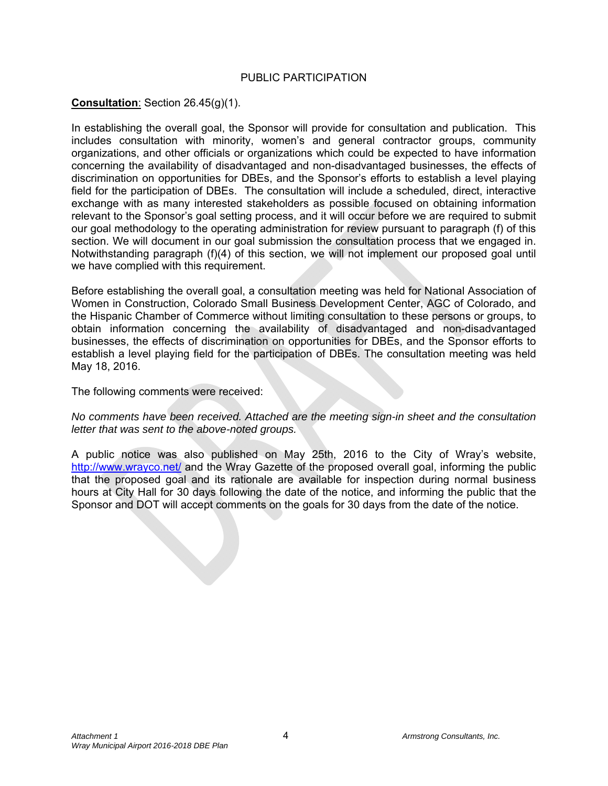#### PUBLIC PARTICIPATION

#### **Consultation**: Section 26.45(g)(1).

In establishing the overall goal, the Sponsor will provide for consultation and publication. This includes consultation with minority, women's and general contractor groups, community organizations, and other officials or organizations which could be expected to have information concerning the availability of disadvantaged and non-disadvantaged businesses, the effects of discrimination on opportunities for DBEs, and the Sponsor's efforts to establish a level playing field for the participation of DBEs. The consultation will include a scheduled, direct, interactive exchange with as many interested stakeholders as possible focused on obtaining information relevant to the Sponsor's goal setting process, and it will occur before we are required to submit our goal methodology to the operating administration for review pursuant to paragraph (f) of this section. We will document in our goal submission the consultation process that we engaged in. Notwithstanding paragraph (f)(4) of this section, we will not implement our proposed goal until we have complied with this requirement.

Before establishing the overall goal, a consultation meeting was held for National Association of Women in Construction, Colorado Small Business Development Center, AGC of Colorado, and the Hispanic Chamber of Commerce without limiting consultation to these persons or groups, to obtain information concerning the availability of disadvantaged and non-disadvantaged businesses, the effects of discrimination on opportunities for DBEs, and the Sponsor efforts to establish a level playing field for the participation of DBEs. The consultation meeting was held May 18, 2016.

The following comments were received:

*No comments have been received. Attached are the meeting sign-in sheet and the consultation letter that was sent to the above-noted groups.*

A public notice was also published on May 25th, 2016 to the City of Wray's website, http://www.wrayco.net/ and the Wray Gazette of the proposed overall goal, informing the public that the proposed goal and its rationale are available for inspection during normal business hours at City Hall for 30 days following the date of the notice, and informing the public that the Sponsor and DOT will accept comments on the goals for 30 days from the date of the notice.